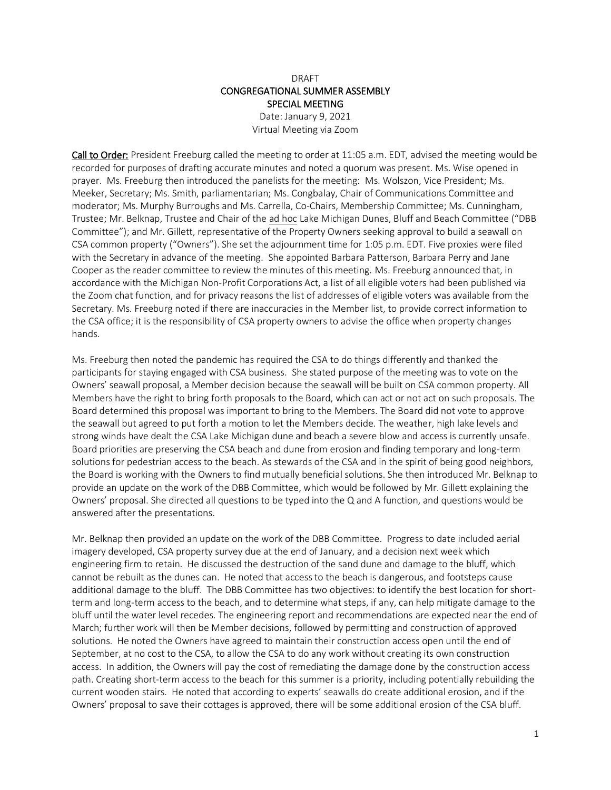## DRAFT CONGREGATIONAL SUMMER ASSEMBLY SPECIAL MEETING

Date: January 9, 2021 Virtual Meeting via Zoom

Call to Order: President Freeburg called the meeting to order at 11:05 a.m. EDT, advised the meeting would be recorded for purposes of drafting accurate minutes and noted a quorum was present. Ms. Wise opened in prayer. Ms. Freeburg then introduced the panelists for the meeting: Ms. Wolszon, Vice President; Ms. Meeker, Secretary; Ms. Smith, parliamentarian; Ms. Congbalay, Chair of Communications Committee and moderator; Ms. Murphy Burroughs and Ms. Carrella, Co-Chairs, Membership Committee; Ms. Cunningham, Trustee; Mr. Belknap, Trustee and Chair of the ad hoc Lake Michigan Dunes, Bluff and Beach Committee ("DBB Committee"); and Mr. Gillett, representative of the Property Owners seeking approval to build a seawall on CSA common property ("Owners"). She set the adjournment time for 1:05 p.m. EDT. Five proxies were filed with the Secretary in advance of the meeting. She appointed Barbara Patterson, Barbara Perry and Jane Cooper as the reader committee to review the minutes of this meeting. Ms. Freeburg announced that, in accordance with the Michigan Non-Profit Corporations Act, a list of all eligible voters had been published via the Zoom chat function, and for privacy reasons the list of addresses of eligible voters was available from the Secretary. Ms. Freeburg noted if there are inaccuracies in the Member list, to provide correct information to the CSA office; it is the responsibility of CSA property owners to advise the office when property changes hands.

Ms. Freeburg then noted the pandemic has required the CSA to do things differently and thanked the participants for staying engaged with CSA business. She stated purpose of the meeting was to vote on the Owners' seawall proposal, a Member decision because the seawall will be built on CSA common property. All Members have the right to bring forth proposals to the Board, which can act or not act on such proposals. The Board determined this proposal was important to bring to the Members. The Board did not vote to approve the seawall but agreed to put forth a motion to let the Members decide. The weather, high lake levels and strong winds have dealt the CSA Lake Michigan dune and beach a severe blow and access is currently unsafe. Board priorities are preserving the CSA beach and dune from erosion and finding temporary and long-term solutions for pedestrian access to the beach. As stewards of the CSA and in the spirit of being good neighbors, the Board is working with the Owners to find mutually beneficial solutions. She then introduced Mr. Belknap to provide an update on the work of the DBB Committee, which would be followed by Mr. Gillett explaining the Owners' proposal. She directed all questions to be typed into the Q and A function, and questions would be answered after the presentations.

Mr. Belknap then provided an update on the work of the DBB Committee. Progress to date included aerial imagery developed, CSA property survey due at the end of January, and a decision next week which engineering firm to retain. He discussed the destruction of the sand dune and damage to the bluff, which cannot be rebuilt as the dunes can. He noted that access to the beach is dangerous, and footsteps cause additional damage to the bluff. The DBB Committee has two objectives: to identify the best location for shortterm and long-term access to the beach, and to determine what steps, if any, can help mitigate damage to the bluff until the water level recedes. The engineering report and recommendations are expected near the end of March; further work will then be Member decisions, followed by permitting and construction of approved solutions. He noted the Owners have agreed to maintain their construction access open until the end of September, at no cost to the CSA, to allow the CSA to do any work without creating its own construction access. In addition, the Owners will pay the cost of remediating the damage done by the construction access path. Creating short-term access to the beach for this summer is a priority, including potentially rebuilding the current wooden stairs. He noted that according to experts' seawalls do create additional erosion, and if the Owners' proposal to save their cottages is approved, there will be some additional erosion of the CSA bluff.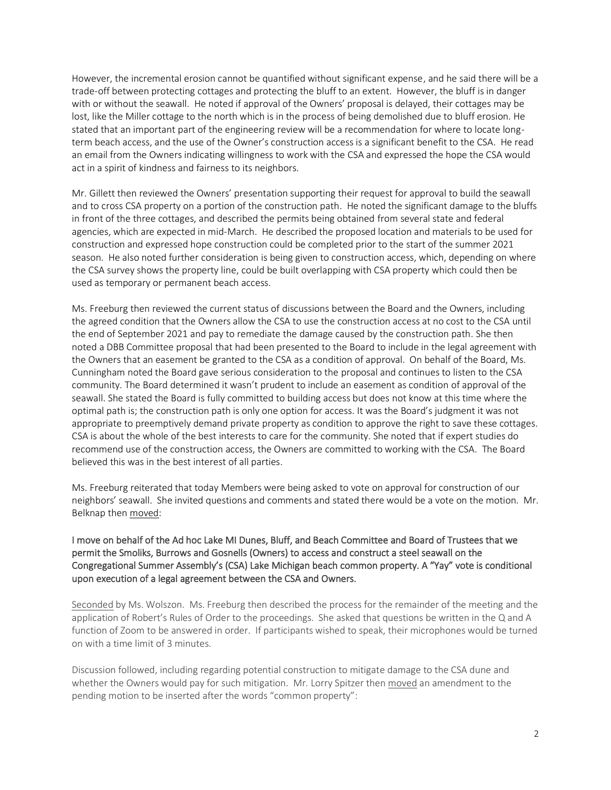However, the incremental erosion cannot be quantified without significant expense, and he said there will be a trade-off between protecting cottages and protecting the bluff to an extent. However, the bluff is in danger with or without the seawall. He noted if approval of the Owners' proposal is delayed, their cottages may be lost, like the Miller cottage to the north which is in the process of being demolished due to bluff erosion. He stated that an important part of the engineering review will be a recommendation for where to locate longterm beach access, and the use of the Owner's construction access is a significant benefit to the CSA. He read an email from the Owners indicating willingness to work with the CSA and expressed the hope the CSA would act in a spirit of kindness and fairness to its neighbors.

Mr. Gillett then reviewed the Owners' presentation supporting their request for approval to build the seawall and to cross CSA property on a portion of the construction path. He noted the significant damage to the bluffs in front of the three cottages, and described the permits being obtained from several state and federal agencies, which are expected in mid-March. He described the proposed location and materials to be used for construction and expressed hope construction could be completed prior to the start of the summer 2021 season. He also noted further consideration is being given to construction access, which, depending on where the CSA survey shows the property line, could be built overlapping with CSA property which could then be used as temporary or permanent beach access.

Ms. Freeburg then reviewed the current status of discussions between the Board and the Owners, including the agreed condition that the Owners allow the CSA to use the construction access at no cost to the CSA until the end of September 2021 and pay to remediate the damage caused by the construction path. She then noted a DBB Committee proposal that had been presented to the Board to include in the legal agreement with the Owners that an easement be granted to the CSA as a condition of approval. On behalf of the Board, Ms. Cunningham noted the Board gave serious consideration to the proposal and continues to listen to the CSA community. The Board determined it wasn't prudent to include an easement as condition of approval of the seawall. She stated the Board is fully committed to building access but does not know at this time where the optimal path is; the construction path is only one option for access. It was the Board's judgment it was not appropriate to preemptively demand private property as condition to approve the right to save these cottages. CSA is about the whole of the best interests to care for the community. She noted that if expert studies do recommend use of the construction access, the Owners are committed to working with the CSA. The Board believed this was in the best interest of all parties.

Ms. Freeburg reiterated that today Members were being asked to vote on approval for construction of our neighbors' seawall. She invited questions and comments and stated there would be a vote on the motion. Mr. Belknap then moved:

## I move on behalf of the Ad hoc Lake MI Dunes, Bluff, and Beach Committee and Board of Trustees that we permit the Smoliks, Burrows and Gosnells (Owners) to access and construct a steel seawall on the Congregational Summer Assembly's (CSA) Lake Michigan beach common property. A "Yay" vote is conditional upon execution of a legal agreement between the CSA and Owners.

Seconded by Ms. Wolszon. Ms. Freeburg then described the process for the remainder of the meeting and the application of Robert's Rules of Order to the proceedings. She asked that questions be written in the Q and A function of Zoom to be answered in order. If participants wished to speak, their microphones would be turned on with a time limit of 3 minutes.

Discussion followed, including regarding potential construction to mitigate damage to the CSA dune and whether the Owners would pay for such mitigation. Mr. Lorry Spitzer then moved an amendment to the pending motion to be inserted after the words "common property":